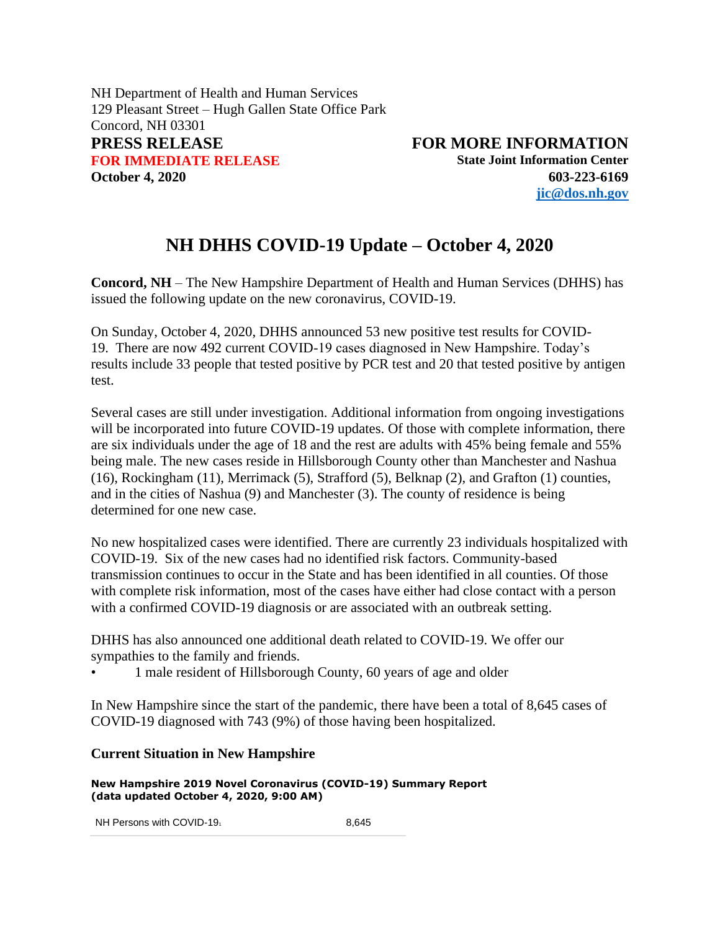NH Department of Health and Human Services 129 Pleasant Street – Hugh Gallen State Office Park Concord, NH 03301 **PRESS RELEASE FOR MORE INFORMATION FOR IMMEDIATE RELEASE State Joint Information Center October 4, 2020 603-223-6169**

**[jic@dos.nh.gov](mailto:jic@dos.nh.gov)**

## **NH DHHS COVID-19 Update – October 4, 2020**

**Concord, NH** – The New Hampshire Department of Health and Human Services (DHHS) has issued the following update on the new coronavirus, COVID-19.

On Sunday, October 4, 2020, DHHS announced 53 new positive test results for COVID-19. There are now 492 current COVID-19 cases diagnosed in New Hampshire. Today's results include 33 people that tested positive by PCR test and 20 that tested positive by antigen test.

Several cases are still under investigation. Additional information from ongoing investigations will be incorporated into future COVID-19 updates. Of those with complete information, there are six individuals under the age of 18 and the rest are adults with 45% being female and 55% being male. The new cases reside in Hillsborough County other than Manchester and Nashua (16), Rockingham (11), Merrimack (5), Strafford (5), Belknap (2), and Grafton (1) counties, and in the cities of Nashua (9) and Manchester (3). The county of residence is being determined for one new case.

No new hospitalized cases were identified. There are currently 23 individuals hospitalized with COVID-19. Six of the new cases had no identified risk factors. Community-based transmission continues to occur in the State and has been identified in all counties. Of those with complete risk information, most of the cases have either had close contact with a person with a confirmed COVID-19 diagnosis or are associated with an outbreak setting.

DHHS has also announced one additional death related to COVID-19. We offer our sympathies to the family and friends.

• 1 male resident of Hillsborough County, 60 years of age and older

In New Hampshire since the start of the pandemic, there have been a total of 8,645 cases of COVID-19 diagnosed with 743 (9%) of those having been hospitalized.

## **Current Situation in New Hampshire**

**New Hampshire 2019 Novel Coronavirus (COVID-19) Summary Report (data updated October 4, 2020, 9:00 AM)**

NH Persons with COVID-19<sub>1</sub> 8,645